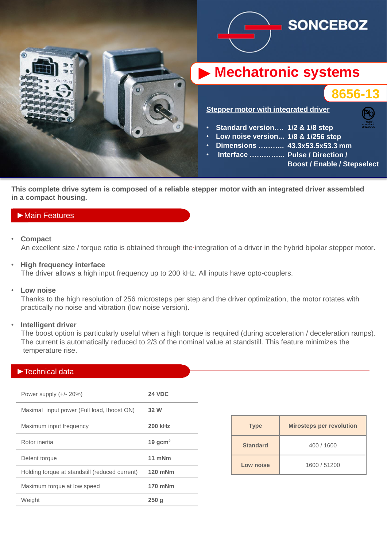

**This complete drive sytem is composed of a reliable stepper motor with an integrated driver assembled in a compact housing.**

## ►Main Features

• **Compact**

An excellent size / torque ratio is obtained through the integration of a driver in the hybrid bipolar stepper motor.

• **High frequency interface**

The driver allows a high input frequency up to 200 kHz. All inputs have opto-couplers.

• **Low noise**

 Thanks to the high resolution of 256 microsteps per step and the driver optimization, the motor rotates with practically no noise and vibration (low noise version).

### • **Intelligent driver**

 The boost option is particularly useful when a high torque is required (during acceleration / deceleration ramps). The current is automatically reduced to 2/3 of the nominal value at standstill. This feature minimizes the temperature rise.

| $\blacktriangleright$ Technical data           |                |
|------------------------------------------------|----------------|
|                                                |                |
| Power supply $(+/- 20%)$                       | <b>24 VDC</b>  |
| Maximal input power (Full load, Iboost ON)     | 32 W           |
| Maximum input frequency                        | <b>200 kHz</b> |
| Rotor inertia                                  | 19 $gcm2$      |
| Detent torque                                  | 11 mNm         |
| Holding torque at standstill (reduced current) | 120 mNm        |
| Maximum torque at low speed                    | 170 mNm        |
| Weight                                         | 250q           |

| <b>Type</b>     | <b>Mirosteps per revolution</b> |  |
|-----------------|---------------------------------|--|
| <b>Standard</b> | 400 / 1600                      |  |
| Low noise       | 1600 / 51200                    |  |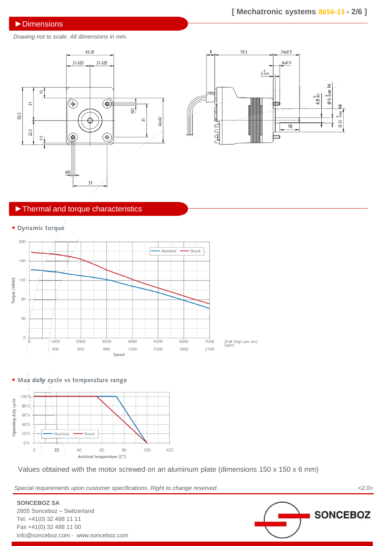#### ►Dimensions

*Drawing not to scale. All dimensions in mm.*





## ►Thermal and torque characteristics



· Max duty cycle vs temperature range



Values obtained with the motor screwed on an aluminum plate (dimensions 150 x 150 x 6 mm)

*Special requirements upon customer specifications. Right to change reserved. <2.0>*

**SONCEBOZ**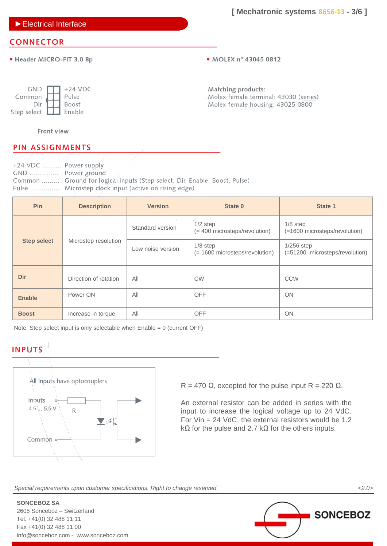►Electrical Interface

# **CONNECTOR**

· Header MICRO-FIT 3.0 8p

• MOLEX n° 43045 0812

| <b>GND</b>  | $+24$ VDC |
|-------------|-----------|
| Common      | Pulse     |
| Dir         | Boost     |
| Step select | Enable    |

Matching products: Molex female terminal: 43030 (series) Molex female housing: 43025 0800

## Front view

# **PIN ASSIGNMENTS**

| $+24$ VDC  Power supply |                                                                            |
|-------------------------|----------------------------------------------------------------------------|
| GND  Power ground       |                                                                            |
|                         | Common  Ground for logical inputs (Step select, Dir, Enable, Boost, Pulse) |
|                         | Pulse  Microstep clock input (active on rising edge)                       |

| <b>Pin</b>         | <b>Description</b>    | <b>Version</b>    | State 0                                      | State 1                                        |
|--------------------|-----------------------|-------------------|----------------------------------------------|------------------------------------------------|
|                    |                       | Standard version  | $1/2$ step<br>(= 400 microsteps/revolution)  | $1/8$ step<br>(=1600 microsteps/revolution)    |
| <b>Step select</b> | Microstep resolution  | Low noise version | $1/8$ step<br>(= 1600 microsteps/revolution) | $1/256$ step<br>(=51200 microsteps/revolution) |
| Dir                | Direction of rotation | All               | <b>CW</b>                                    | CCW                                            |
| <b>Enable</b>      | Power ON              | All               | <b>OFF</b>                                   | ON                                             |
| <b>Boost</b>       | Increase in torque    | All               | <b>OFF</b>                                   | ON                                             |

Note: Step select input is only selectable when Enable = 0 (current OFF)

## **INPUTS**



R = 470  $\Omega$ , excepted for the pulse input R = 220  $\Omega$ .

An external resistor can be added in series with the input to increase the logical voltage up to 24 VdC. For Vin = 24 VdC, the external resistors would be 1.2 kΩ for the pulse and 2.7 kΩ for the others inputs.

*Special requirements upon customer specifications. Right to change reserved. <2.0>*

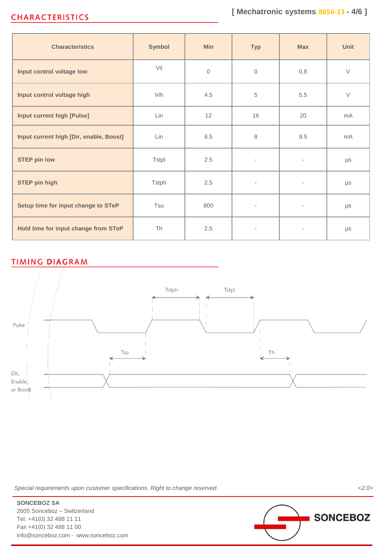# **CHARACTERISTICS**

| <b>Characteristics</b>                  | <b>Symbol</b> | Min          | <b>Typ</b>               | <b>Max</b>               | <b>Unit</b> |
|-----------------------------------------|---------------|--------------|--------------------------|--------------------------|-------------|
| Input control voltage low               | Vil           | $\mathbf{0}$ | $\mathbf{0}$             | 0.8                      | $\vee$      |
| Input control voltage high              | Vih           | 4.5          | 5                        | 5.5                      | $\vee$      |
| <b>Input current high [Pulse]</b>       | Lin           | 12           | 16                       | 20                       | mA          |
| Input current high [Dir, enable, Boost] | Lin           | 6.5          | 8                        | 9.5                      | mA          |
| <b>STEP pin low</b>                     | Tstpl         | 2.5          | $\overline{\phantom{a}}$ | $\overline{\phantom{a}}$ | μs          |
| <b>STEP pin high</b>                    | Tstph         | 2.5          | $\overline{\phantom{a}}$ | $\overline{\phantom{a}}$ | $\mu s$     |
| Setup time for input change to STeP     | Tsu           | 800          | $\overline{\phantom{0}}$ | $\overline{\phantom{a}}$ | $\mu s$     |
| Hold time for input change from STeP    | Th            | 2.5          | $\overline{\phantom{a}}$ |                          | $\mu s$     |

# **TIMING DIAGRAM**



*Special requirements upon customer specifications. Right to change reserved. <2.0>*



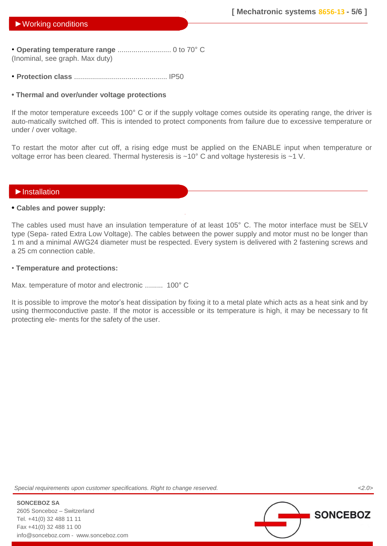### ►Working conditions

• **Operating temperature range** ........................... 0 to 70° C (Inominal, see graph. Max duty)

• **Protection class** ............................................... IP50

#### **• Thermal and over/under voltage protections**

If the motor temperature exceeds 100° C or if the supply voltage comes outside its operating range, the driver is auto-matically switched off. This is intended to protect components from failure due to excessive temperature or under / over voltage.

To restart the motor after cut off, a rising edge must be applied on the ENABLE input when temperature or voltage error has been cleared. Thermal hysteresis is  $\sim 10^{\circ}$  C and voltage hysteresis is  $\sim 1$  V.

#### ►Installation

#### **• Cables and power supply:**

The cables used must have an insulation temperature of at least 105° C. The motor interface must be SELV type (Sepa- rated Extra Low Voltage). The cables between the power supply and motor must no be longer than 1 m and a minimal AWG24 diameter must be respected. Every system is delivered with 2 fastening screws and a 25 cm connection cable.

#### • **Temperature and protections:**

Max. temperature of motor and electronic ......... 100° C

It is possible to improve the motor's heat dissipation by fixing it to a metal plate which acts as a heat sink and by using thermoconductive paste. If the motor is accessible or its temperature is high, it may be necessary to fit protecting ele- ments for the safety of the user.

*Special requirements upon customer specifications. Right to change reserved. <2.0>*